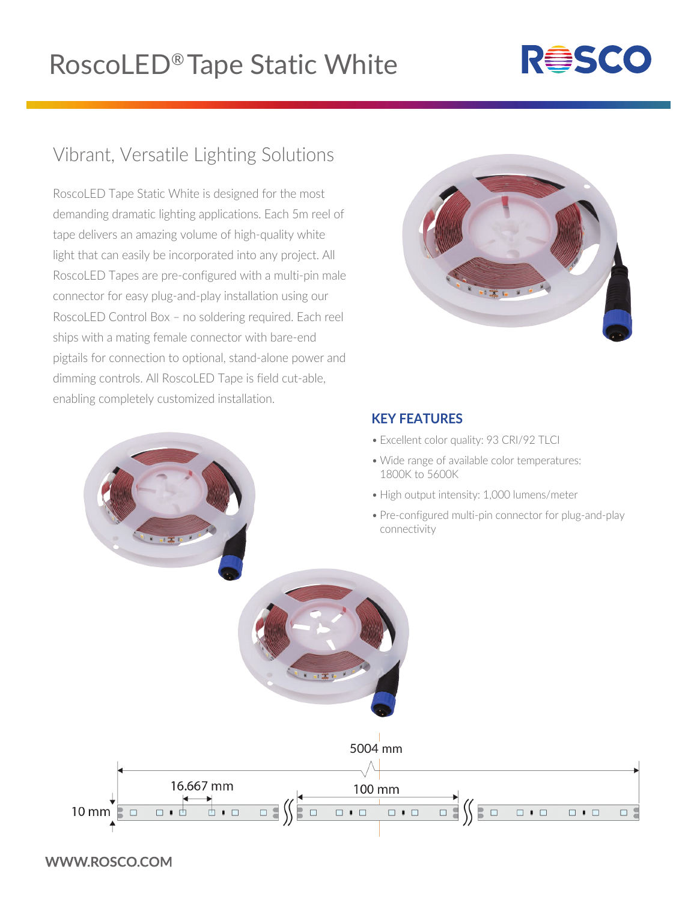## RoscoLED® Tape Static White

# **RESCO**

### Vibrant, Versatile Lighting Solutions

RoscoLED Tape Static White is designed for the most demanding dramatic lighting applications. Each 5m reel of tape delivers an amazing volume of high-quality white light that can easily be incorporated into any project. All RoscoLED Tapes are pre-configured with a multi-pin male connector for easy plug-and-play installation using our RoscoLED Control Box – no soldering required. Each reel ships with a mating female connector with bare-end pigtails for connection to optional, stand-alone power and dimming controls. All RoscoLED Tape is field cut-able, enabling completely customized installation.



#### **KEY FEATURES**

- Excellent color quality: 93 CRI/92 TLCI
- Wide range of available color temperatures: 1800K to 5600K
- High output intensity: 1,000 lumens/meter
- Pre-configured multi-pin connector for plug-and-play connectivity